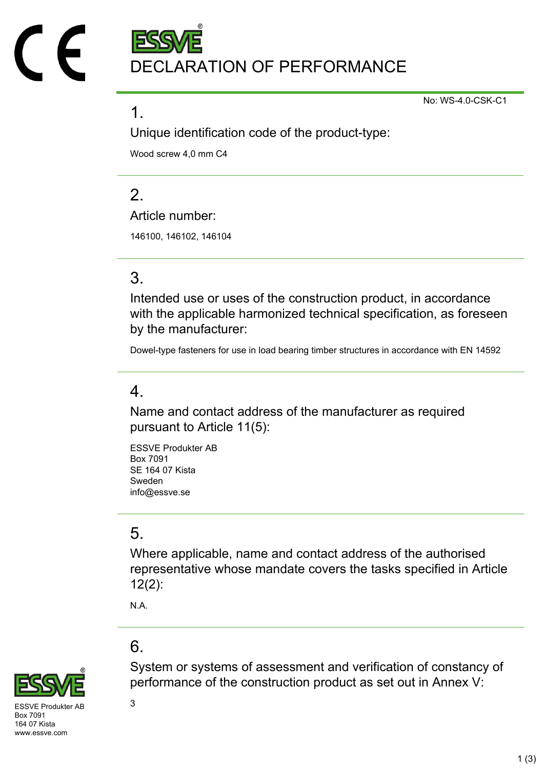DECLARATION OF PERFORMANCE

No: WS-4.0-CSK-C1

#### 1.

Unique identification code of the product-type:

Wood screw 4,0 mm C4

## $\mathcal{P}$

Article number:

146100, 146102, 146104

# 3.

Intended use or uses of the construction product, in accordance with the applicable harmonized technical specification, as foreseen by the manufacturer:

Dowel-type fasteners for use in load bearing timber structures in accordance with EN 14592

### 4.

Name and contact address of the manufacturer as required pursuant to Article 11(5):

ESSVE Produkter AB Box 7091 SE 164 07 Kista Sweden info@essve.se

# 5.

Where applicable, name and contact address of the authorised representative whose mandate covers the tasks specified in Article 12(2):

N.A.

# 6.



System or systems of assessment and verification of constancy of performance of the construction product as set out in Annex V:

 $SVF$  Produkter AB  $3$ Box 7091 164 07 Kista www.essve.com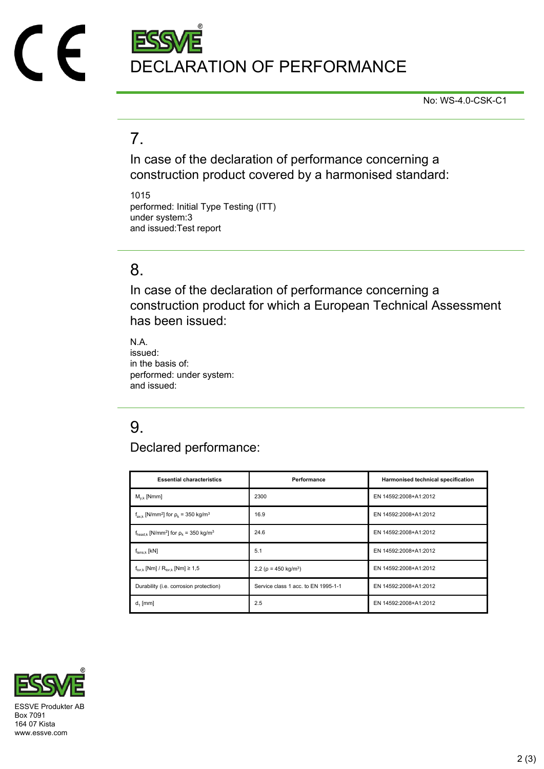

No: WS-4.0-CSK-C1

## 7.

In case of the declaration of performance concerning a construction product covered by a harmonised standard:

1015 performed: Initial Type Testing (ITT) under system:3 and issued:Test report

#### 8.

In case of the declaration of performance concerning a construction product for which a European Technical Assessment has been issued:

N.A. issued: in the basis of: performed: under system: and issued:

# 9.

Declared performance:

| <b>Essential characteristics</b>                                              | Performance                            | Harmonised technical specification |
|-------------------------------------------------------------------------------|----------------------------------------|------------------------------------|
| $M_{v k}$ [Nmm]                                                               | 2300                                   | EN 14592:2008+A1:2012              |
| $f_{\text{ax k}}$ [N/mm <sup>2</sup> ] for $\rho_k$ = 350 kg/m <sup>3</sup>   | 16.9                                   | EN 14592:2008+A1:2012              |
| $f_{\text{head},k}$ [N/mm <sup>2</sup> ] for $\rho_k$ = 350 kg/m <sup>3</sup> | 24.6                                   | EN 14592:2008+A1:2012              |
| $f_{tens.k}$ [kN]                                                             | 5.1                                    | EN 14592:2008+A1:2012              |
| $f_{\text{tor }k}$ [Nm] / $R_{\text{tor }k}$ [Nm] $\geq 1.5$                  | 2,2 ( $\rho$ = 450 kg/m <sup>3</sup> ) | EN 14592:2008+A1:2012              |
| Durability (i.e. corrosion protection)                                        | Service class 1 acc. to EN 1995-1-1    | EN 14592:2008+A1:2012              |
| $d_1$ [mm]                                                                    | 2.5                                    | EN 14592:2008+A1:2012              |



Box 7091 164 07 Kista www.essve.com